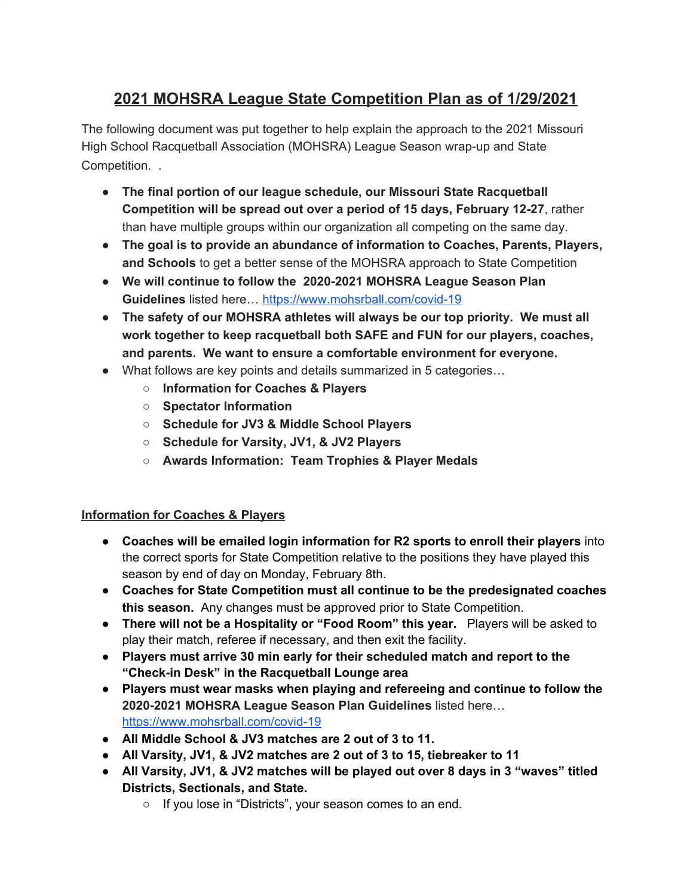# **2021 MOHSRA League State Competition Plan as of 1/29/2021**

The following document was put together to help explain the approach to the 2021 Missouri High School Racquetball Association (MOHSRA) League Season wrap-up and State Competition. .

- **The final portion of our league schedule, our Missouri State Racquetball Competition will be spread out over a period of 15 days, February 12-27**, rather than have multiple groups within our organization all competing on the same day.
- **The goal is to provide an abundance of information to Coaches, Parents, Players, and Schools** to get a better sense of the MOHSRA approach to State Competition
- **We will continue to follow the 2020-2021 MOHSRA League Season Plan Guidelines** listed here… <https://www.mohsrball.com/covid-19>
- **The safety of our MOHSRA athletes will always be our top priority. We must all work together to keep racquetball both SAFE and FUN for our players, coaches, and parents. We want to ensure a comfortable environment for everyone.**
- What follows are key points and details summarized in 5 categories…
	- **○ Information for Coaches & Players**
	- **○ Spectator Information**
	- **○ Schedule for JV3 & Middle School Players**
	- **○ Schedule for Varsity, JV1, & JV2 Players**
	- **○ Awards Information: Team Trophies & Player Medals**

## **Information for Coaches & Players**

- **Coaches will be emailed login information for R2 sports to enroll their players** into the correct sports for State Competition relative to the positions they have played this season by end of day on Monday, February 8th.
- **Coaches for State Competition must all continue to be the predesignated coaches this season.** Any changes must be approved prior to State Competition.
- **There will not be a Hospitality or "Food Room" this year.** Players will be asked to play their match, referee if necessary, and then exit the facility.
- **● Players must arrive 30 min early for their scheduled match and report to the "Check-in Desk" in the Racquetball Lounge area**
- **Players must wear masks when playing and refereeing and continue to follow the 2020-2021 MOHSRA League Season Plan Guidelines** listed here… <https://www.mohsrball.com/covid-19>
- **All Middle School & JV3 matches are 2 out of 3 to 11.**
- **All Varsity, JV1, & JV2 matches are 2 out of 3 to 15, tiebreaker to 11**
- **● All Varsity, JV1, & JV2 matches will be played out over 8 days in 3 "waves" titled Districts, Sectionals, and State.**
	- If you lose in "Districts", your season comes to an end.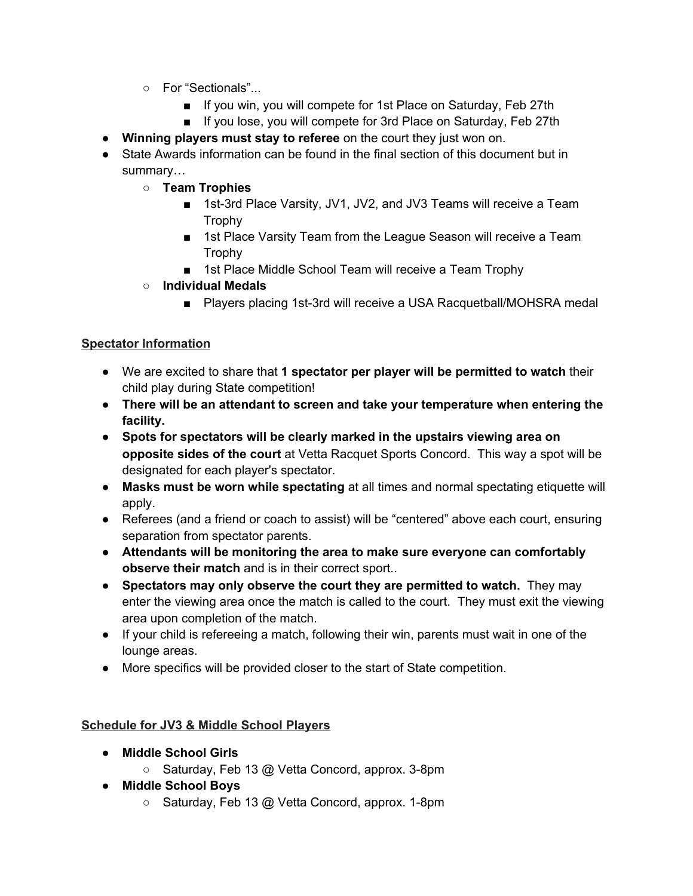- For "Sectionals"...
	- If you win, you will compete for 1st Place on Saturday, Feb 27th
	- If you lose, you will compete for 3rd Place on Saturday, Feb 27th
- **Winning players must stay to referee** on the court they just won on.
- State Awards information can be found in the final section of this document but in summary…
	- **○ Team Trophies**
		- 1st-3rd Place Varsity, JV1, JV2, and JV3 Teams will receive a Team Trophy
		- 1st Place Varsity Team from the League Season will receive a Team Trophy
		- 1st Place Middle School Team will receive a Team Trophy
	- **○ Individual Medals**
		- Players placing 1st-3rd will receive a USA Racquetball/MOHSRA medal

## **Spectator Information**

- We are excited to share that **1 spectator per player will be permitted to watch** their child play during State competition!
- **● There will be an attendant to screen and take your temperature when entering the facility.**
- **Spots for spectators will be clearly marked in the upstairs viewing area on opposite sides of the court** at Vetta Racquet Sports Concord. This way a spot will be designated for each player's spectator.
- **Masks must be worn while spectating** at all times and normal spectating etiquette will apply.
- Referees (and a friend or coach to assist) will be "centered" above each court, ensuring separation from spectator parents.
- **Attendants will be monitoring the area to make sure everyone can comfortably observe their match** and is in their correct sport..
- **Spectators may only observe the court they are permitted to watch.** They may enter the viewing area once the match is called to the court. They must exit the viewing area upon completion of the match.
- If your child is refereeing a match, following their win, parents must wait in one of the lounge areas.
- More specifics will be provided closer to the start of State competition.

## **Schedule for JV3 & Middle School Players**

- **● Middle School Girls**
	- Saturday, Feb 13 @ Vetta Concord, approx. 3-8pm
- **● Middle School Boys**
	- Saturday, Feb 13 @ Vetta Concord, approx. 1-8pm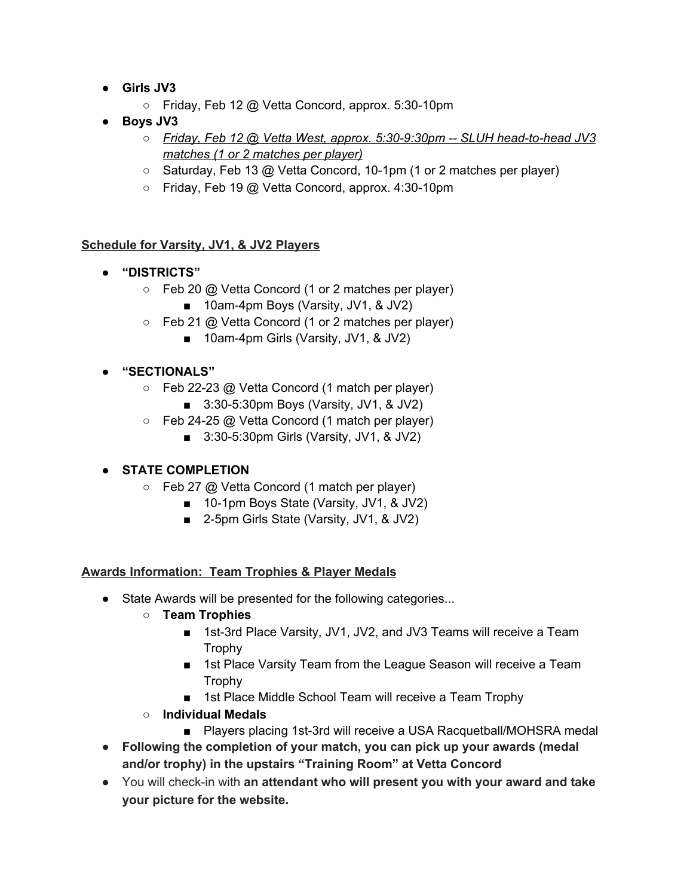- **● Girls JV3**
	- Friday, Feb 12 @ Vetta Concord, approx. 5:30-10pm
- **● Boys JV3**
	- *○ Friday, Feb 12 @ Vetta West, approx. 5:30-9:30pm -- SLUH head-to-head JV3 matches (1 or 2 matches per player)*
	- Saturday, Feb 13 @ Vetta Concord, 10-1pm (1 or 2 matches per player)
	- Friday, Feb 19 @ Vetta Concord, approx. 4:30-10pm

## **Schedule for Varsity, JV1, & JV2 Players**

- **● "DISTRICTS"**
	- $\circ$  Feb 20 @ Vetta Concord (1 or 2 matches per player)
		- 10am-4pm Boys (Varsity, JV1, & JV2)
	- $\circ$  Feb 21 @ Vetta Concord (1 or 2 matches per player)
		- 10am-4pm Girls (Varsity, JV1, & JV2)

## **● "SECTIONALS"**

- Feb 22-23 @ Vetta Concord (1 match per player)
	- 3:30-5:30pm Boys (Varsity, JV1, & JV2)
- Feb 24-25 @ Vetta Concord (1 match per player)
	- 3:30-5:30pm Girls (Varsity, JV1, & JV2)

## **● STATE COMPLETION**

- Feb 27 @ Vetta Concord (1 match per player)
	- 10-1pm Boys State (Varsity, JV1, & JV2)
	- 2-5pm Girls State (Varsity, JV1, & JV2)

## **Awards Information: Team Trophies & Player Medals**

- State Awards will be presented for the following categories...
	- **○ Team Trophies**
		- 1st-3rd Place Varsity, JV1, JV2, and JV3 Teams will receive a Team Trophy
		- 1st Place Varsity Team from the League Season will receive a Team Trophy
		- 1st Place Middle School Team will receive a Team Trophy
	- **○ Individual Medals**
		- Players placing 1st-3rd will receive a USA Racquetball/MOHSRA medal
- **● Following the completion of your match, you can pick up your awards (medal and/or trophy) in the upstairs "Training Room" at Vetta Concord**
- You will check-in with **an attendant who will present you with your award and take your picture for the website.**